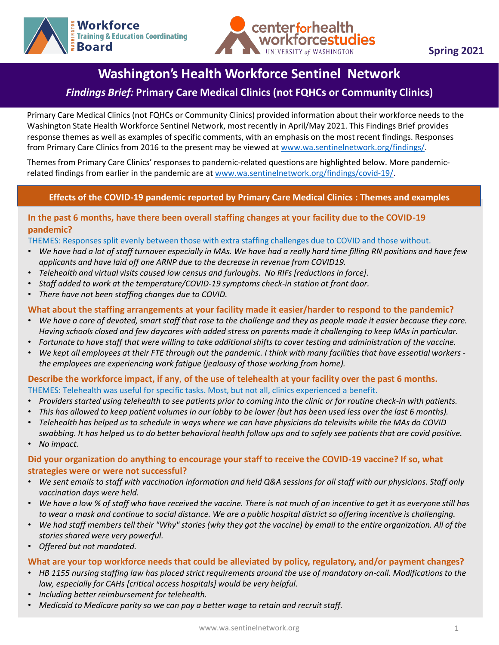



# **Washington's Health Workforce Sentinel Network**

# *Findings Brief:* **Primary Care Medical Clinics (not FQHCs or Community Clinics)**

Primary Care Medical Clinics (not FQHCs or Community Clinics) provided information about their workforce needs to the Washington State Health Workforce Sentinel Network, most recently in April/May 2021. This Findings Brief provides response themes as well as examples of specific comments, with an emphasis on the most recent findings. Responses from Primary Care Clinics from 2016 to the present may be viewed at [www.wa.sentinelnetwork.org/findings/](http://www.wa.sentinelnetwork.org/findings/).

Themes from Primary Care Clinics' responses to pandemic-related questions are highlighted below. More pandemicrelated findings from earlier in the pandemic are at [www.wa.sentinelnetwork.org/findings/covid-19/.](https://wa.sentinelnetwork.org/findings/covid-19/)

### **Effects of the COVID-19 pandemic reported by Primary Care Medical Clinics : Themes and examples**

### In the past 6 months, have there been overall staffing changes at your facility due to the COVID-19 **pandemic?**

THEMES: Responses split evenly between those with extra staffing challenges due to COVID and those without.

- *We have had a lot of staff turnover especially in MAs. We have had a really hard time filling RN positions and have few applicants and have laid off one ARNP due to the decrease in revenue from COVID19.*
- *Telehealth and virtual visits caused low census and furloughs. No RIFs [reductions in force].*
- *Staff added to work at the temperature/COVID-19 symptoms check-in station at front door.*
- *There have not been staffing changes due to COVID.*

#### **What about the staffing arrangements at your facility made it easier/harder to respond to the pandemic?**

- *We have a core of devoted, smart staff that rose to the challenge and they as people made it easier because they care. Having schools closed and few daycares with added stress on parents made it challenging to keep MAs in particular.*
- *Fortunate to have staff that were willing to take additional shifts to cover testing and administration of the vaccine.*
- *We kept all employees at their FTE through out the pandemic. I think with many facilities that have essential workers the employees are experiencing work fatigue (jealousy of those working from home).*

#### **Describe the workforce impact, if any**, **of the use of telehealth at your facility over the past 6 months.** THEMES: Telehealth was useful for specific tasks. Most, but not all, clinics experienced a benefit.

- *Providers started using telehealth to see patients prior to coming into the clinic or for routine check-in with patients.*
- *This has allowed to keep patient volumes in our lobby to be lower (but has been used less over the last 6 months).*
- *Telehealth has helped us to schedule in ways where we can have physicians do televisits while the MAs do COVID swabbing. It has helped us to do better behavioral health follow ups and to safely see patients that are covid positive.*
- *No impact.*

### **Did your organization do anything to encourage your staff to receive the COVID-19 vaccine? If so, what strategies were or were not successful?**

- *We sent emails to staff with vaccination information and held Q&A sessions for all staff with our physicians. Staff only vaccination days were held.*
- *We have a low % of staff who have received the vaccine. There is not much of an incentive to get it as everyone still has to wear a mask and continue to social distance. We are a public hospital district so offering incentive is challenging.*
- *We had staff members tell their "Why" stories (why they got the vaccine) by email to the entire organization. All of the stories shared were very powerful.*
- *Offered but not mandated.*

#### **What are your top workforce needs that could be alleviated by policy, regulatory, and/or payment changes?**

- *HB 1155 nursing staffing law has placed strict requirements around the use of mandatory on-call. Modifications to the law, especially for CAHs [critical access hospitals] would be very helpful.*
- *Including better reimbursement for telehealth.*
- *Medicaid to Medicare parity so we can pay a better wage to retain and recruit staff.*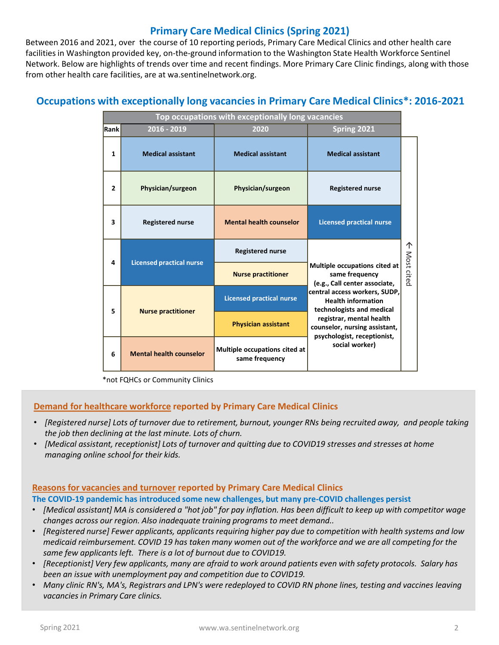# **Primary Care Medical Clinics (Spring 2021)**

Between 2016 and 2021, over the course of 10 reporting periods, Primary Care Medical Clinics and other health care facilities in Washington provided key, on-the-ground information to the Washington State Health Workforce Sentinel Network. Below are highlights of trends over time and recent findings. More Primary Care Clinic findings, along with those from other health care facilities, are at wa.sentinelnetwork.org.

# **Occupations with exceptionally long vacancies in Primary Care Medical Clinics\*: 2016-2021**

| Top occupations with exceptionally long vacancies |                                 |                                                 |                                                                                                                                                                                                                                                                                                  |                 |
|---------------------------------------------------|---------------------------------|-------------------------------------------------|--------------------------------------------------------------------------------------------------------------------------------------------------------------------------------------------------------------------------------------------------------------------------------------------------|-----------------|
| Rank                                              | 2016 - 2019                     | 2020                                            | Spring 2021                                                                                                                                                                                                                                                                                      |                 |
| 1                                                 | <b>Medical assistant</b>        | <b>Medical assistant</b>                        | <b>Medical assistant</b>                                                                                                                                                                                                                                                                         |                 |
| $\overline{2}$                                    | Physician/surgeon               | Physician/surgeon                               | <b>Registered nurse</b>                                                                                                                                                                                                                                                                          |                 |
| 3                                                 | <b>Registered nurse</b>         | <b>Mental health counselor</b>                  | <b>Licensed practical nurse</b>                                                                                                                                                                                                                                                                  | ↑<br>Most cited |
| 4                                                 | <b>Licensed practical nurse</b> | <b>Registered nurse</b>                         | <b>Multiple occupations cited at</b><br>same frequency<br>(e.g., Call center associate,<br>central access workers, SUDP,<br><b>Health information</b><br>technologists and medical<br>registrar, mental health<br>counselor, nursing assistant,<br>psychologist, receptionist,<br>social worker) |                 |
|                                                   |                                 | <b>Nurse practitioner</b>                       |                                                                                                                                                                                                                                                                                                  |                 |
| 5                                                 | <b>Nurse practitioner</b>       | <b>Licensed practical nurse</b>                 |                                                                                                                                                                                                                                                                                                  |                 |
|                                                   |                                 | <b>Physician assistant</b>                      |                                                                                                                                                                                                                                                                                                  |                 |
| 6                                                 | <b>Mental health counselor</b>  | Multiple occupations cited at<br>same frequency |                                                                                                                                                                                                                                                                                                  |                 |

\*not FQHCs or Community Clinics

#### **Demand for healthcare workforce reported by Primary Care Medical Clinics**

- *[Registered nurse] Lots of turnover due to retirement, burnout, younger RNs being recruited away, and people taking the job then declining at the last minute. Lots of churn.*
- *[Medical assistant, receptionist] Lots of turnover and quitting due to COVID19 stresses and stresses at home managing online school for their kids.*

#### **Reasons for vacancies and turnover reported by Primary Care Medical Clinics**

**The COVID-19 pandemic has introduced some new challenges, but many pre-COVID challenges persist**

- *[Medical assistant] MA is considered a "hot job" for pay inflation. Has been difficult to keep up with competitor wage changes across our region. Also inadequate training programs to meet demand..*
- *[Registered nurse] Fewer applicants, applicants requiring higher pay due to competition with health systems and low medicaid reimbursement. COVID 19 has taken many women out of the workforce and we are all competing for the same few applicants left. There is a lot of burnout due to COVID19.*
- *[Receptionist] Very few applicants, many are afraid to work around patients even with safety protocols. Salary has been an issue with unemployment pay and competition due to COVID19.*
- *Many clinic RN's, MA's, Registrars and LPN's were redeployed to COVID RN phone lines, testing and vaccines leaving vacancies in Primary Care clinics.*